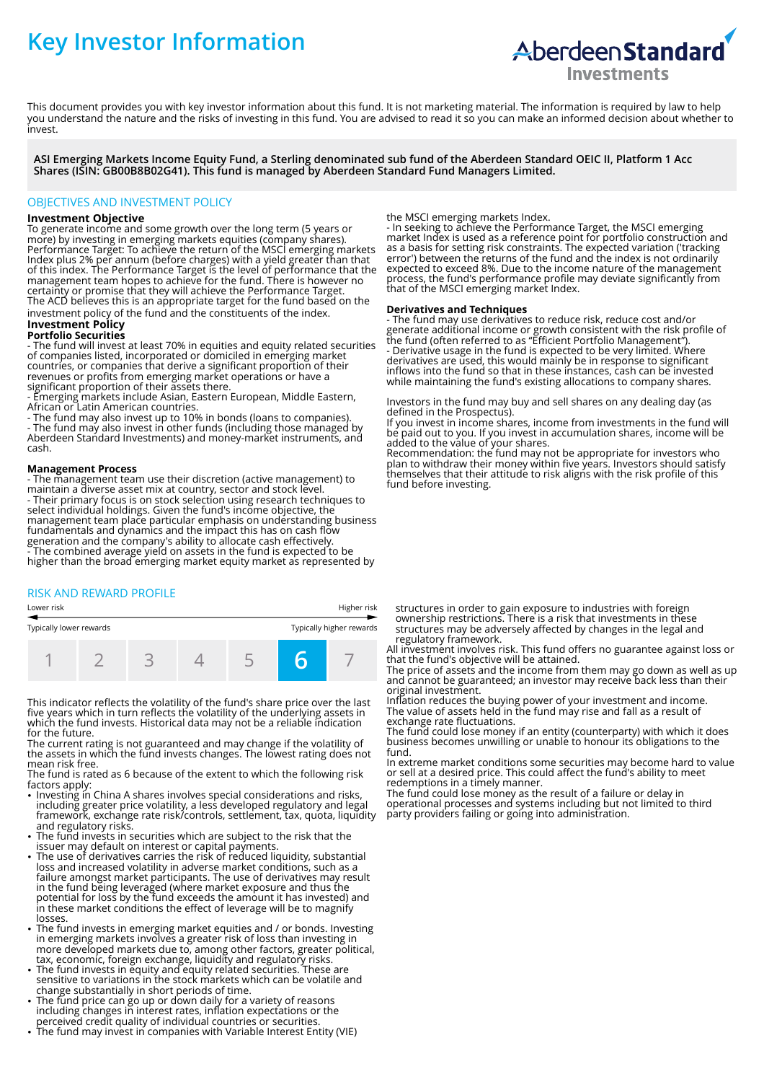# **Key Investor Information**



This document provides you with key investor information about this fund. It is not marketing material. The information is required by law to help you understand the nature and the risks of investing in this fund. You are advised to read it so you can make an informed decision about whether to invest.

**ASI Emerging Markets Income Equity Fund, a Sterling denominated sub fund of the Aberdeen Standard OEIC II, Platform 1 Acc Shares (ISIN: GB00B8B02G41). This fund is managed by Aberdeen Standard Fund Managers Limited.**

### OBJECTIVES AND INVESTMENT POLICY

#### **Investment Objective**

To generate income and some growth over the long term (5 years or more) by investing in emerging markets equities (company shares). Performance Target: To achieve the return of the MSCI emerging markets Index plus 2% per annum (before charges) with a yield greater than that of this index. The Performance Target is the level of performance that the management team hopes to achieve for the fund. There is however no certainty or promise that they will achieve the Performance Target. The ACD believes this is an appropriate target for the fund based on the

investment policy of the fund and the constituents of the index. **Investment Policy** 

## **Portfolio Securities**

- The fund will invest at least 70% in equities and equity related securities of companies listed, incorporated or domiciled in emerging market countries, or companies that derive a significant proportion of their revenues or profits from emerging market operations or have a significant proportion of their assets there.

- Emerging markets include Asian, Eastern European, Middle Eastern, African or Latin American countries.

- The fund may also invest up to 10% in bonds (loans to companies). - The fund may also invest in other funds (including those managed by Aberdeen Standard Investments) and money-market instruments, and cash.

#### **Management Process**

- The management team use their discretion (active management) to maintain a diverse asset mix at country, sector and stock level. - Their primary focus is on stock selection using research techniques to select individual holdings. Given the fund's income objective, the management team place particular emphasis on understanding business fundamentals and dynamics and the impact this has on cash flow generation and the company's ability to allocate cash effectively. - The combined average yield on assets in the fund is expected to be higher than the broad emerging market equity market as represented by

#### RISK AND REWARD PROFILE

| Lower risk              |  | Higher risk |  |  |  |                          |  |
|-------------------------|--|-------------|--|--|--|--------------------------|--|
| Typically lower rewards |  |             |  |  |  | Typically higher rewards |  |
|                         |  |             |  |  |  |                          |  |

This indicator reflects the volatility of the fund's share price over the last five years which in turn reflects the volatility of the underlying assets in which the fund invests. Historical data may not be a reliable indication for the future.

The current rating is not guaranteed and may change if the volatility of the assets in which the fund invests changes. The lowest rating does not mean risk free.

The fund is rated as 6 because of the extent to which the following risk factors apply:

- Investing in China A shares involves special considerations and risks, including greater price volatility, a less developed regulatory and legal framework, exchange rate risk/controls, settlement, tax, quota, liquidity and regulatory risks.
- The fund invests in securities which are subject to the risk that the issuer may default on interest or capital payments. 2 The use of derivatives carries the risk of reduced liquidity, substantial
- loss and increased volatility in adverse market conditions, such as a failure amongst market participants. The use of derivatives may result in the fund being leveraged (where market exposure and thus the potential for loss by the fund exceeds the amount it has invested) and in these market conditions the effect of leverage will be to magnify losses.
- The fund invests in emerging market equities and / or bonds. Investing in emerging markets involves a greater risk of loss than investing in more developed markets due to, among other factors, greater political, tax, economic, foreign exchange, liquidity and regulatory risks. 2 The fund invests in equity and equity related securities. These are
- sensitive to variations in the stock markets which can be volatile and change substantially in short periods of time.
- The fund price can go up or down daily for a variety of reasons including changes in interest rates, inflation expectations or the
- perceived credit quality of individual countries or securities. 2 The fund may invest in companies with Variable Interest Entity (VIE)

the MSCI emerging markets Index.

- In seeking to achieve the Performance Target, the MSCI emerging market Index is used as a reference point for portfolio construction and as a basis for setting risk constraints. The expected variation ('tracking error') between the returns of the fund and the index is not ordinarily expected to exceed 8%. Due to the income nature of the management process, the fund's performance profile may deviate significantly from that of the MSCI emerging market Index.

#### **Derivatives and Techniques**

- The fund may use derivatives to reduce risk, reduce cost and/or generate additional income or growth consistent with the risk profile of the fund (often referred to as "Efficient Portfolio Management"). - Derivative usage in the fund is expected to be very limited. Where derivatives are used, this would mainly be in response to significant inflows into the fund so that in these instances, cash can be invested while maintaining the fund's existing allocations to company shares.

Investors in the fund may buy and sell shares on any dealing day (as defined in the Prospectus).

If you invest in income shares, income from investments in the fund will be paid out to you. If you invest in accumulation shares, income will be added to the value of your shares.

Recommendation: the fund may not be appropriate for investors who plan to withdraw their money within five years. Investors should satisfy themselves that their attitude to risk aligns with the risk profile of this fund before investing.

structures in order to gain exposure to industries with foreign ownership restrictions. There is a risk that investments in these structures may be adversely affected by changes in the legal and regulatory framework.

All investment involves risk. This fund offers no guarantee against loss or that the fund's objective will be attained.

The price of assets and the income from them may go down as well as up and cannot be guaranteed; an investor may receive back less than their original investment.

Inflation reduces the buying power of your investment and income. The value of assets held in the fund may rise and fall as a result of exchange rate fluctuations.

The fund could lose money if an entity (counterparty) with which it does business becomes unwilling or unable to honour its obligations to the fund.

In extreme market conditions some securities may become hard to value or sell at a desired price. This could affect the fund's ability to meet redemptions in a timely manner.

The fund could lose money as the result of a failure or delay in operational processes and systems including but not limited to third party providers failing or going into administration.